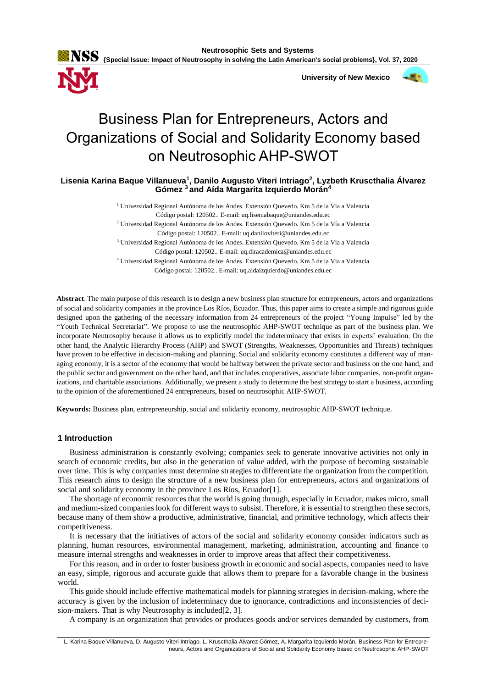

 **University of New Mexico**



# Business Plan for Entrepreneurs, Actors and Organizations of Social and Solidarity Economy based on Neutrosophic AHP-SWOT

**Lisenia Karina Baque Villanueva<sup>1</sup> , Danilo Augusto Viteri Intriago<sup>2</sup> , Lyzbeth Kruscthalia Álvarez Gómez <sup>3</sup> and Aída Margarita Izquierdo Morán<sup>4</sup>**

> <sup>1</sup> Universidad Regional Autónoma de los Andes. Extensión Quevedo. Km 5 de la Vía a Valencia Código postal: 120502.. E-mail: uq.liseniabaque@uniandes.edu.ec

> <sup>2</sup> Universidad Regional Autónoma de los Andes. Extensión Quevedo. Km 5 de la Vía a Valencia Código postal: 120502.. E-mail: uq.daniloviteri@uniandes.edu.ec

> <sup>3</sup> Universidad Regional Autónoma de los Andes. Extensión Quevedo. Km 5 de la Vía a Valencia

Código postal: 120502.. E-mail: uq.diracademica@uniandes.edu.ec

<sup>4</sup> Universidad Regional Autónoma de los Andes. Extensión Quevedo. Km 5 de la Vía a Valencia Código postal: 120502.. E-mail: uq.aidaizquierdo@uniandes.edu.ec

**Abstract**. The main purpose of this research is to design a new business plan structure for entrepreneurs, actors and organizations of social and solidarity companies in the province Los Ríos, Ecuador. Thus, this paper aims to create a simple and rigorous guide designed upon the gathering of the necessary information from 24 entrepreneurs of the project "Young Impulse" led by the "Youth Technical Secretariat". We propose to use the neutrosophic AHP-SWOT technique as part of the business plan. We incorporate Neutrosophy because it allows us to explicitly model the indeterminacy that exists in experts' evaluation. On the other hand, the Analytic Hierarchy Process (AHP) and SWOT (Strengths, Weaknesses, Opportunities and Threats) techniques have proven to be effective in decision-making and planning. Social and solidarity economy constitutes a different way of managing economy, it is a sector of the economy that would be halfway between the private sector and business on the one hand, and the public sector and government on the other hand, and that includes cooperatives, associate labor companies, non-profit organizations, and charitable associations. Additionally, we present a study to determine the best strategy to start a business, according to the opinion of the aforementioned 24 entrepreneurs, based on neutrosophic AHP-SWOT.

**Keywords:** Business plan, entrepreneurship, social and solidarity economy, neutrosophic AHP-SWOT technique.

# **1 Introduction**

Business administration is constantly evolving; companies seek to generate innovative activities not only in search of economic credits, but also in the generation of value added, with the purpose of becoming sustainable over time. This is why companies must determine strategies to differentiate the organization from the competition. This research aims to design the structure of a new business plan for entrepreneurs, actors and organizations of social and solidarity economy in the province Los Ríos, Ecuador[1].

The shortage of economic resources that the world is going through, especially in Ecuador, makes micro, small and medium-sized companies look for different ways to subsist. Therefore, it is essential to strengthen these sectors, because many of them show a productive, administrative, financial, and primitive technology, which affects their competitiveness.

It is necessary that the initiatives of actors of the social and solidarity economy consider indicators such as planning, human resources, environmental management, marketing, administration, accounting and finance to measure internal strengths and weaknesses in order to improve areas that affect their competitiveness.

For this reason, and in order to foster business growth in economic and social aspects, companies need to have an easy, simple, rigorous and accurate guide that allows them to prepare for a favorable change in the business world.

This guide should include effective mathematical models for planning strategies in decision-making, where the accuracy is given by the inclusion of indeterminacy due to ignorance, contradictions and inconsistencies of decision-makers. That is why Neutrosophy is included [2, 3].

A company is an organization that provides or produces goods and/or services demanded by customers, from

L. Karina Baque Villanueva, D. Augusto Viteri Intriago, L. Kruscthalia Álvarez Gómez, A. Margarita Izquierdo Morán. Business Plan for Entrepreneurs, Actors and Organizations of Social and Solidarity Economy based on Neutrosophic AHP-SWOT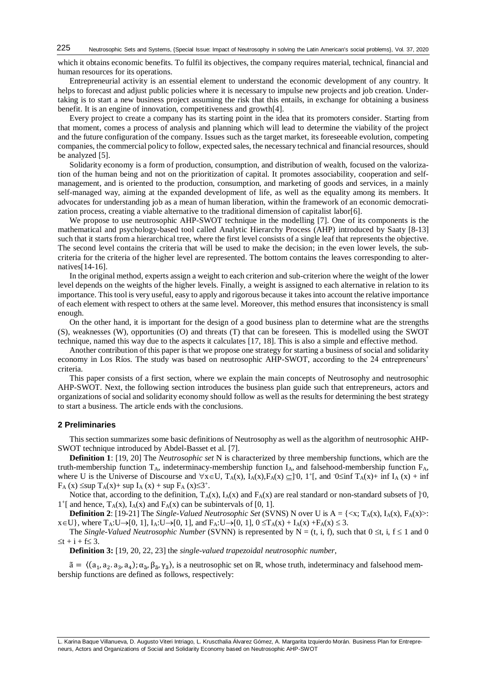which it obtains economic benefits. To fulfil its objectives, the company requires material, technical, financial and human resources for its operations.

Entrepreneurial activity is an essential element to understand the economic development of any country. It helps to forecast and adjust public policies where it is necessary to impulse new projects and job creation. Undertaking is to start a new business project assuming the risk that this entails, in exchange for obtaining a business benefit. It is an engine of innovation, competitiveness and growth[4].

Every project to create a company has its starting point in the idea that its promoters consider. Starting from that moment, comes a process of analysis and planning which will lead to determine the viability of the project and the future configuration of the company. Issues such as the target market, its foreseeable evolution, competing companies, the commercial policy to follow, expected sales, the necessary technical and financial resources, should be analyzed [5].

Solidarity economy is a form of production, consumption, and distribution of wealth, focused on the valorization of the human being and not on the prioritization of capital. It promotes associability, cooperation and selfmanagement, and is oriented to the production, consumption, and marketing of goods and services, in a mainly self-managed way, aiming at the expanded development of life, as well as the equality among its members. It advocates for understanding job as a mean of human liberation, within the framework of an economic democratization process, creating a viable alternative to the traditional dimension of capitalist labor[6].

We propose to use neutrosophic AHP-SWOT technique in the modelling [7]. One of its components is the mathematical and psychology-based tool called Analytic Hierarchy Process (AHP) introduced by Saaty [8-13] such that it starts from a hierarchical tree, where the first level consists of a single leaf that represents the objective. The second level contains the criteria that will be used to make the decision; in the even lower levels, the subcriteria for the criteria of the higher level are represented. The bottom contains the leaves corresponding to alternatives[14-16].

In the original method, experts assign a weight to each criterion and sub-criterion where the weight of the lower level depends on the weights of the higher levels. Finally, a weight is assigned to each alternative in relation to its importance. This tool is very useful, easy to apply and rigorous because it takes into account the relative importance of each element with respect to others at the same level. Moreover, this method ensures that inconsistency is small enough.

On the other hand, it is important for the design of a good business plan to determine what are the strengths (S), weaknesses (W), opportunities (O) and threats (T) that can be foreseen. This is modelled using the SWOT technique, named this way due to the aspects it calculates [17, 18]. This is also a simple and effective method.

Another contribution of this paper is that we propose one strategy for starting a business of social and solidarity economy in Los Ríos. The study was based on neutrosophic AHP-SWOT, according to the 24 entrepreneurs' criteria.

This paper consists of a first section, where we explain the main concepts of Neutrosophy and neutrosophic AHP-SWOT. Next, the following section introduces the business plan guide such that entrepreneurs, actors and organizations of social and solidarity economy should follow as well as the results for determining the best strategy to start a business. The article ends with the conclusions.

## **2 Preliminaries**

This section summarizes some basic definitions of Neutrosophy as well as the algorithm of neutrosophic AHP-SWOT technique introduced by Abdel-Basset et al. [7].

**Definition 1**: [19, 20] The *Neutrosophic set* N is characterized by three membership functions, which are the truth-membership function  $T_A$ , indeterminacy-membership function  $I_A$ , and falsehood-membership function  $F_A$ , where U is the Universe of Discourse and  $\forall x \in U$ ,  $T_A(x)$ ,  $I_A(x)$ ,  $F_A(x) \subseteq ]0, 1^+[$ , and  $0 \le inf T_A(x) + inf I_A(x) + inf$  $F_A(x) \leq sup T_A(x) + sup I_A(x) + sup F_A(x) \leq 3^+$ .

Notice that, according to the definition,  $T_A(x)$ ,  $I_A(x)$  and  $F_A(x)$  are real standard or non-standard subsets of ]<sup>-0</sup>,  $1^+$ [ and hence, T<sub>A</sub>(x), I<sub>A</sub>(x) and F<sub>A</sub>(x) can be subintervals of [0, 1].

**Definition 2**: [19-21] The *Single-Valued Neutrosophic Set* (SVNS) N over U is  $A = \{ \langle x, T_A(x), I_A(x), F_A(x) \rangle :$  $x \in U$ , where  $T_A: U \rightarrow [0, 1]$ ,  $I_A: U \rightarrow [0, 1]$ , and  $F_A: U \rightarrow [0, 1]$ ,  $0 \le T_A(x) + I_A(x) + F_A(x) \le 3$ .

The *Single-Valued Neutrosophic Number* (SVNN) is represented by  $N = (t, i, f)$ , such that  $0 \le t$ , i,  $f \le 1$  and 0  $\leq t + i + f \leq 3$ .

**Definition 3:** [19, 20, 22, 23] the *single-valued trapezoidal neutrosophic number*,

 $\tilde{a} = \langle (a_1, a_2, a_3, a_4), \alpha_{\tilde{a}}, \beta_{\tilde{a}}, \gamma_{\tilde{a}} \rangle$ , is a neutrosophic set on ℝ, whose truth, indeterminacy and falsehood membership functions are defined as follows, respectively: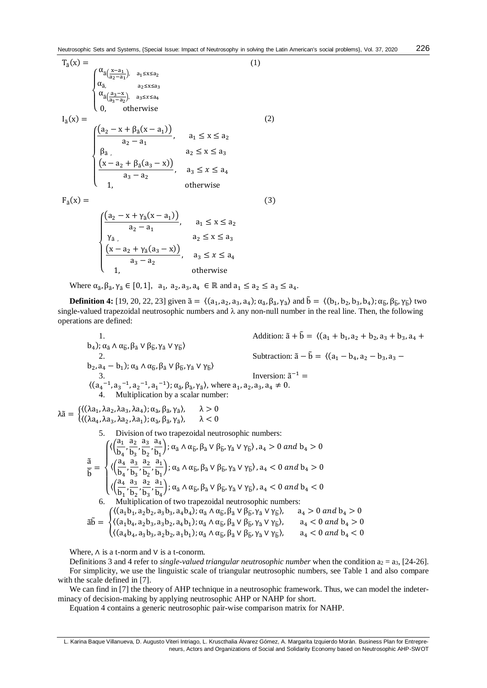226

$$
T_{\tilde{a}}(x) = \begin{cases} \alpha_{\tilde{a}}(\frac{x-a_1}{a_2-a_1}), & a_1 \le x \le a_2 \\ \alpha_{\tilde{a}}, & a_2 \le x \le a_3 \\ \alpha_{\tilde{a}}(\frac{a_3-x}{a_3-a_2}), & a_3 \le x \le a_4 \\ 0, & \text{otherwise} \end{cases}
$$
\n
$$
I_{\tilde{a}}(x) = \begin{cases} \frac{(a_2 - x + \beta_{\tilde{a}}(x-a_1))}{a_2 - a_1}, & a_1 \le x \le a_2 \\ \beta_{\tilde{a}}, & a_2 \le x \le a_3 \\ \frac{(x-a_2 + \beta_{\tilde{a}}(a_3-x))}{a_3 - a_2}, & a_3 \le x \le a_4 \\ 1, & \text{otherwise} \end{cases}
$$
\n
$$
F_{\tilde{a}}(x) = \begin{cases} (1)
$$

$$
\begin{cases}\n\frac{(a_2 - x + \gamma_{\tilde{a}}(x - a_1))}{a_2 - a_1}, & a_1 \le x \le a_2 \\
\gamma_{\tilde{a}}, & a_2 \le x \le a_3 \\
\frac{(x - a_2 + \gamma_{\tilde{a}}(a_3 - x))}{a_3 - a_2}, & a_3 \le x \le a_4 \\
1, & \text{otherwise}\n\end{cases}
$$

Where  $\alpha_{\tilde{a}}, \beta_{\tilde{a}}, \gamma_{\tilde{a}} \in [0,1], a_1, a_2, a_3, a_4 \in \mathbb{R}$  and  $a_1 \le a_2 \le a_3 \le a_4$ .

**Definition 4:** [19, 20, 22, 23] given  $\tilde{a} = \langle (a_1, a_2, a_3, a_4); \alpha_{\tilde{a}}, \beta_{\tilde{a}}, \gamma_{\tilde{a}} \rangle$  and  $\tilde{b} = \langle (b_1, b_2, b_3, b_4); \alpha_{\tilde{b}}, \beta_{\tilde{b}}, \gamma_{\tilde{b}} \rangle$  two single-valued trapezoidal neutrosophic numbers and  $\lambda$  any non-null number in the real line. Then, the following operations are defined:

1. Addition: 
$$
\tilde{a} + \tilde{b} = \langle (a_1 + b_1, a_2 + b_2, a_3 + b_3, a_4 + b_4); \alpha_{\tilde{a}} \wedge \alpha_{\tilde{b}}, \beta_{\tilde{a}} \vee \beta_{\tilde{b}}, \gamma_{\tilde{a}} \vee \gamma_{\tilde{b}} \rangle
$$
  
\n2. Subtraction:  $\tilde{a} - \tilde{b} = \langle (a_1 - b_4, a_2 - b_3, a_3 - b_2, a_4 - b_1); \alpha_{\tilde{a}} \wedge \alpha_{\tilde{b}}, \beta_{\tilde{a}} \vee \beta_{\tilde{b}}, \gamma_{\tilde{a}} \vee \gamma_{\tilde{b}} \rangle$   
\n3. Inversion:  $\tilde{a}^{-1} = \langle (a_4^{-1}, a_3^{-1}, a_2^{-1}, a_1^{-1}); \alpha_{\tilde{a}}, \beta_{\tilde{a}}, \gamma_{\tilde{a}} \rangle$ , where  $a_1, a_2, a_3, a_4 \neq 0$ .  
\n4. Multiplication by a scalar number:

 $\lambda \tilde{a} = \begin{cases} \langle (\lambda a_1, \lambda a_2, \lambda a_3, \lambda a_4), \alpha_{\tilde{a}}, \beta_{\tilde{a}}, \gamma_{\tilde{a}} \rangle, & \lambda > 0 \\ \langle (\lambda a_1, \lambda a_2, \lambda a_3, \lambda a_4), \alpha_{\tilde{a}}, \beta_{\tilde{a}}, \gamma_{\tilde{a}} \rangle, & \lambda > 0 \end{cases}$  $\langle (\lambda a_4, \lambda a_3, \lambda a_2, \lambda a_1); \alpha_{\tilde{a}}, \beta_{\tilde{a}}, \gamma_{\tilde{a}} \rangle, \quad \lambda < 0$ 

5. Division of two trapezoidal neutrosophic numbers:

$$
\tilde{\tilde{b}} = \begin{cases}\n\langle \left(\frac{a_1}{b_4}, \frac{a_2}{b_3}, \frac{a_3}{b_2}, \frac{a_4}{b_1}\right); \alpha_{\tilde{a}} \wedge \alpha_{\tilde{b}}, \beta_{\tilde{a}} \vee \beta_{\tilde{b}}, \gamma_{\tilde{a}} \vee \gamma_{\tilde{b}} \rangle, a_4 > 0 \text{ and } b_4 > 0 \\
\langle \left(\frac{a_4}{b_4}, \frac{a_3}{b_3}, \frac{a_2}{b_2}, \frac{a_1}{b_1}\right); \alpha_{\tilde{a}} \wedge \alpha_{\tilde{b}}, \beta_{\tilde{a}} \vee \beta_{\tilde{b}}, \gamma_{\tilde{a}} \vee \gamma_{\tilde{b}} \rangle, a_4 < 0 \text{ and } b_4 > 0 \\
\langle \left(\frac{a_4}{b_1}, \frac{a_3}{b_2}, \frac{a_2}{b_3}, \frac{a_1}{b_4}\right); \alpha_{\tilde{a}} \wedge \alpha_{\tilde{b}}, \beta_{\tilde{a}} \vee \beta_{\tilde{b}}, \gamma_{\tilde{a}} \vee \gamma_{\tilde{b}} \rangle, a_4 < 0 \text{ and } b_4 < 0 \\
\langle \left(\frac{a_4}{b_1}, \frac{a_3}{b_2}, \frac{a_2}{b_3}, \frac{a_1}{b_4}\right); \alpha_{\tilde{a}} \wedge \alpha_{\tilde{b}}, \beta_{\tilde{a}} \vee \beta_{\tilde{b}}, \gamma_{\tilde{a}} \vee \gamma_{\tilde{b}} \rangle, a_4 < 0 \text{ and } b_4 < 0 \\
\delta. \quad \text{Multiplication of two trapezoidal neutrosophic numbers:} \\
\tilde{a}\tilde{b} = \begin{cases}\n\langle (a_1b_1, a_2b_2, a_3b_3, a_4b_4); \alpha_{\tilde{a}} \wedge \alpha_{\tilde{b}}, \beta_{\tilde{a}} \vee \beta_{\tilde{b}}, \gamma_{\tilde{a}} \vee \gamma_{\tilde{b}} \rangle, & a_4 > 0 \text{ and } b_4 > 0 \\
\langle (a_4b_4, a_2b_3, a_3b_2, a_4b_1); \alpha_{\tilde{a}} \wedge \alpha_{\tilde{
$$

Where,  $\Lambda$  is a t-norm and  $V$  is a t-conorm.

Definitions 3 and 4 refer to *single-valued triangular neutrosophic number* when the condition  $a_2 = a_3$ , [24-26]. For simplicity, we use the linguistic scale of triangular neutrosophic numbers, see Table 1 and also compare with the scale defined in [7].

We can find in [7] the theory of AHP technique in a neutrosophic framework. Thus, we can model the indeterminacy of decision-making by applying neutrosophic AHP or NAHP for short.

Equation 4 contains a generic neutrosophic pair-wise comparison matrix for NAHP.

L. Karina Baque Villanueva, D. Augusto Viteri Intriago, L. Kruscthalia Álvarez Gómez, A. Margarita Izquierdo Morán. Business Plan for Entrepreneurs, Actors and Organizations of Social and Solidarity Economy based on Neutrosophic AHP-SWOT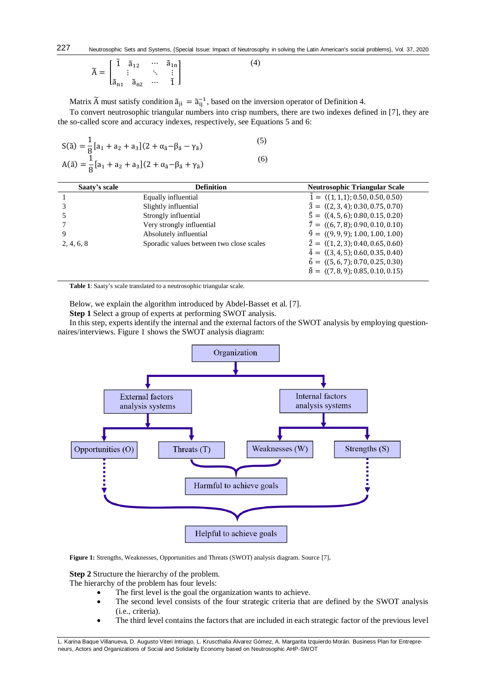(4)

$$
\widetilde{A} = \begin{bmatrix} \widetilde{1} & \widetilde{a}_{12} & \cdots & \widetilde{a}_{1n} \\ \vdots & & \ddots & \vdots \\ \widetilde{a}_{n1} & \widetilde{a}_{n2} & \cdots & \widetilde{1} \end{bmatrix}
$$

Matrix  $\tilde{A}$  must satisfy condition  $\tilde{a}_{ji} = \tilde{a}_{ij}^{-1}$ , based on the inversion operator of Definition 4.

To convert neutrosophic triangular numbers into crisp numbers, there are two indexes defined in [7], they are the so-called score and accuracy indexes, respectively, see Equations 5 and 6:

$$
S(\tilde{a}) = \frac{1}{8} [a_1 + a_2 + a_3](2 + \alpha_{\tilde{a}} - \beta_{\tilde{a}} - \gamma_{\tilde{a}})
$$
  
\n
$$
A(\tilde{a}) = \frac{1}{8} [a_1 + a_2 + a_3](2 + \alpha_{\tilde{a}} - \beta_{\tilde{a}} + \gamma_{\tilde{a}})
$$
\n(6)

| Saaty's scale | <b>Definition</b>                        | <b>Neutrosophic Triangular Scale</b>                      |
|---------------|------------------------------------------|-----------------------------------------------------------|
|               | Equally influential                      | $\tilde{1} = \langle (1,1,1); 0.50, 0.50, 0.50 \rangle$   |
|               | Slightly influential                     | $\tilde{3} = \langle (2,3,4); 0.30, 0.75, 0.70 \rangle$   |
|               | Strongly influential                     | $\tilde{5} = \langle (4, 5, 6); 0.80, 0.15, 0.20 \rangle$ |
|               | Very strongly influential                | $\tilde{7} = \langle (6, 7, 8); 0.90, 0.10, 0.10 \rangle$ |
| 9             | Absolutely influential                   | $\tilde{9} = \langle (9, 9, 9); 1.00, 1.00, 1.00 \rangle$ |
| 2, 4, 6, 8    | Sporadic values between two close scales | $\tilde{2} = \langle (1, 2, 3); 0.40, 0.65, 0.60 \rangle$ |
|               |                                          | $\tilde{4} = \langle (3, 4, 5); 0.60, 0.35, 0.40 \rangle$ |
|               |                                          | $\tilde{6} = \langle (5, 6, 7); 0.70, 0.25, 0.30 \rangle$ |
|               |                                          | $\tilde{8} = \langle (7,8,9); 0.85, 0.10, 0.15 \rangle$   |

**Table 1**: Saaty's scale translated to a neutrosophic triangular scale.

Below, we explain the algorithm introduced by Abdel-Basset et al. [7].

**Step 1** Select a group of experts at performing SWOT analysis.

In this step, experts identify the internal and the external factors of the SWOT analysis by employing questionnaires/interviews. Figure 1 shows the SWOT analysis diagram:



**Figure 1:** Strengths, Weaknesses, Opportunities and Threats (SWOT) analysis diagram. Source [7].

**Step 2** Structure the hierarchy of the problem.

The hierarchy of the problem has four levels:

- The first level is the goal the organization wants to achieve.
- The second level consists of the four strategic criteria that are defined by the SWOT analysis (i.e., criteria).
- The third level contains the factors that are included in each strategic factor of the previous level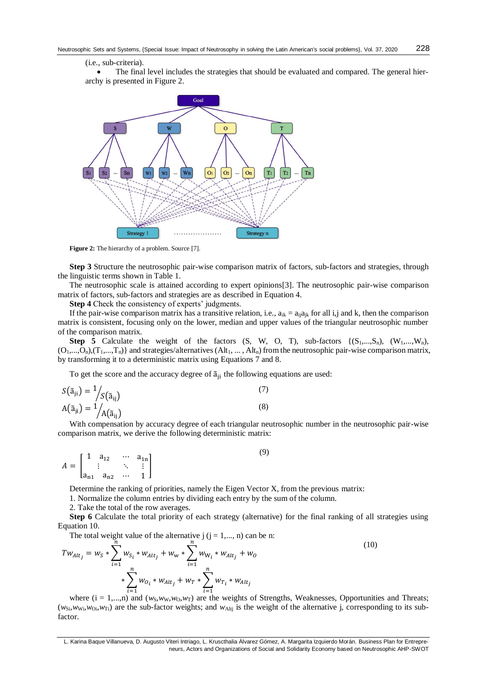#### (i.e., sub-criteria).

 The final level includes the strategies that should be evaluated and compared. The general hierarchy is presented in Figure 2.



Figure 2: The hierarchy of a problem. Source [7].

**Step 3** Structure the neutrosophic pair-wise comparison matrix of factors, sub-factors and strategies, through the linguistic terms shown in Table 1.

The neutrosophic scale is attained according to expert opinions[3]. The neutrosophic pair-wise comparison matrix of factors, sub-factors and strategies are as described in Equation 4.

**Step 4** Check the consistency of experts' judgments.

If the pair-wise comparison matrix has a transitive relation, i.e.,  $a_{ik} = a_{ii}a_{ik}$  for all i,j and k, then the comparison matrix is consistent, focusing only on the lower, median and upper values of the triangular neutrosophic number of the comparison matrix.

**Step 5** Calculate the weight of the factors  $(S, W, O, T)$ , sub-factors  $\{(S_1,...,S_n), (W_1,...,W_n)\}$  $(O_1,...,O_n),(T_1,...,T_n)$  and strategies/alternatives  $(Alt_1,..., Alt_n)$  from the neutrosophic pair-wise comparison matrix, by transforming it to a deterministic matrix using Equations 7 and 8.

To get the score and the accuracy degree of  $\tilde{a}_{ii}$  the following equations are used:

$$
S(\tilde{a}_{ji}) = \frac{1}{S(\tilde{a}_{ij})}
$$
\n
$$
A(\tilde{a}_{ji}) = \frac{1}{A(\tilde{a}_{ij})}
$$
\n(7)

With compensation by accuracy degree of each triangular neutrosophic number in the neutrosophic pair-wise comparison matrix, we derive the following deterministic matrix:

(9)

$$
A = \begin{bmatrix} 1 & a_{12} & \cdots & a_{1n} \\ \vdots & \ddots & \vdots \\ a_{n1} & a_{n2} & \cdots & 1 \end{bmatrix}
$$

Determine the ranking of priorities, namely the Eigen Vector X, from the previous matrix:

1. Normalize the column entries by dividing each entry by the sum of the column.

2. Take the total of the row averages.

**Step 6** Calculate the total priority of each strategy (alternative) for the final ranking of all strategies using Equation 10.

The total weight value of the alternative  $j$  ( $j = 1,..., n$ ) can be n:

$$
Tw_{Alt_j} = w_S * \sum_{i=1}^{n} w_{S_i} * w_{Alt_j} + w_w * \sum_{i=1}^{n} w_{W_i} * w_{Alt_j} + w_o
$$
  
 
$$
* \sum_{i=1}^{n} w_{O_i} * w_{Alt_j} + w_T * \sum_{i=1}^{n} w_{T_i} * w_{Alt_j}
$$
 (10)

where  $(i = 1,...,n)$  and  $(w_S, w_W, w_O, w_T)$  are the weights of Strengths, Weaknesses, Opportunities and Threats;  $(w_{\text{Si}},w_{\text{Ni}},w_{\text{Si}},w_{\text{Ti}})$  are the sub-factor weights; and  $w_{\text{Alt}}$  is the weight of the alternative j, corresponding to its subfactor.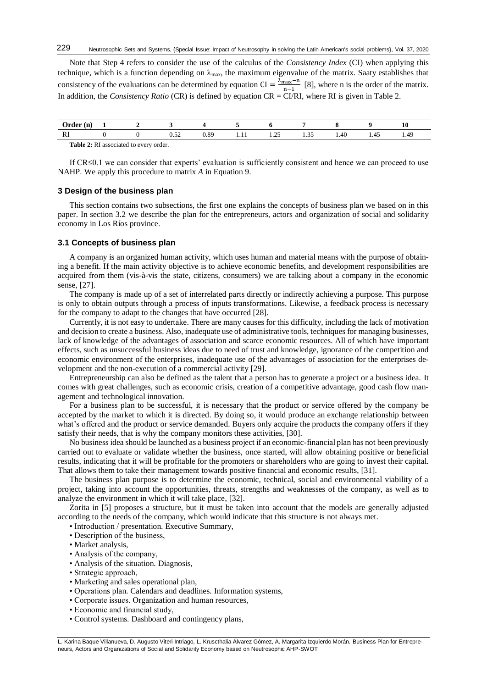Note that Step 4 refers to consider the use of the calculus of the *Consistency Index* (CI) when applying this technique, which is a function depending on  $\lambda_{\text{max}}$ , the maximum eigenvalue of the matrix. Saaty establishes that consistency of the evaluations can be determined by equation CI =  $\frac{\lambda_{\text{max}} - n}{n}$  $\frac{\text{max}-\text{ln}}{\text{ln}-1}$  [8], where n is the order of the matrix. In addition, the *Consistency Ratio* (CR) is defined by equation CR = CI/RI, where RI is given in Table 2.

| ۱n.                 |  |                |           |   |                 |                       |      |      | 10   |
|---------------------|--|----------------|-----------|---|-----------------|-----------------------|------|------|------|
| $\mathbf{D}^*$<br>W |  | $\sim$<br>J.JZ | ററ<br>v.o | . | $\sim$<br>ر ے . | $\sim$ $\sim$<br>1.JJ | 1.40 | 1.4J | 1.77 |
|                     |  |                |           |   |                 |                       |      |      |      |

**Table 2:** RI associated to every order.

If  $CR \leq 0.1$  we can consider that experts' evaluation is sufficiently consistent and hence we can proceed to use NAHP. We apply this procedure to matrix *A* in Equation 9.

## **3 Design of the business plan**

This section contains two subsections, the first one explains the concepts of business plan we based on in this paper. In section 3.2 we describe the plan for the entrepreneurs, actors and organization of social and solidarity economy in Los Ríos province.

## **3.1 Concepts of business plan**

A company is an organized human activity, which uses human and material means with the purpose of obtaining a benefit. If the main activity objective is to achieve economic benefits, and development responsibilities are acquired from them (vis-à-vis the state, citizens, consumers) we are talking about a company in the economic sense, [27].

The company is made up of a set of interrelated parts directly or indirectly achieving a purpose. This purpose is only to obtain outputs through a process of inputs transformations. Likewise, a feedback process is necessary for the company to adapt to the changes that have occurred [28].

Currently, it is not easy to undertake. There are many causes for this difficulty, including the lack of motivation and decision to create a business. Also, inadequate use of administrative tools, techniques for managing businesses, lack of knowledge of the advantages of association and scarce economic resources. All of which have important effects, such as unsuccessful business ideas due to need of trust and knowledge, ignorance of the competition and economic environment of the enterprises, inadequate use of the advantages of association for the enterprises development and the non-execution of a commercial activity [29].

Entrepreneurship can also be defined as the talent that a person has to generate a project or a business idea. It comes with great challenges, such as economic crisis, creation of a competitive advantage, good cash flow management and technological innovation.

For a business plan to be successful, it is necessary that the product or service offered by the company be accepted by the market to which it is directed. By doing so, it would produce an exchange relationship between what's offered and the product or service demanded. Buyers only acquire the products the company offers if they satisfy their needs, that is why the company monitors these activities, [30].

No business idea should be launched as a business project if an economic-financial plan has not been previously carried out to evaluate or validate whether the business, once started, will allow obtaining positive or beneficial results, indicating that it will be profitable for the promoters or shareholders who are going to invest their capital. That allows them to take their management towards positive financial and economic results, [31].

The business plan purpose is to determine the economic, technical, social and environmental viability of a project, taking into account the opportunities, threats, strengths and weaknesses of the company, as well as to analyze the environment in which it will take place, [32].

Zorita in [5] proposes a structure, but it must be taken into account that the models are generally adjusted according to the needs of the company, which would indicate that this structure is not always met.

• Introduction / presentation. Executive Summary,

- Description of the business,
- Market analysis,
- Analysis of the company,
- Analysis of the situation. Diagnosis,
- Strategic approach,
- Marketing and sales operational plan,
- Operations plan. Calendars and deadlines. Information systems,
- Corporate issues. Organization and human resources,
- Economic and financial study,
- Control systems. Dashboard and contingency plans,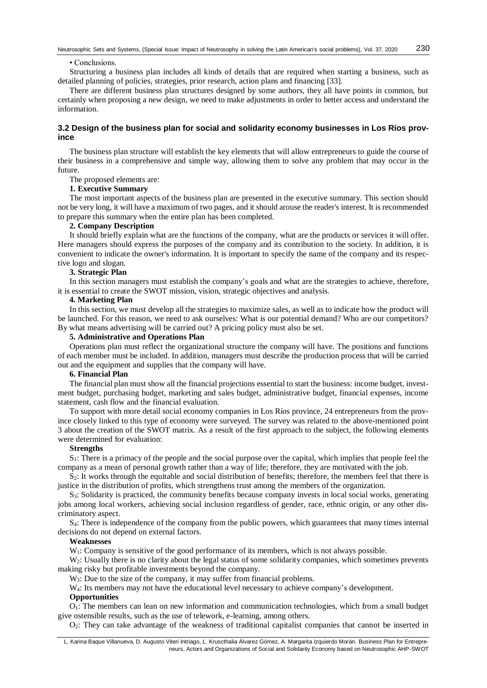#### • Conclusions.

Structuring a business plan includes all kinds of details that are required when starting a business, such as detailed planning of policies, strategies, prior research, action plans and financing [33].

There are different business plan structures designed by some authors, they all have points in common, but certainly when proposing a new design, we need to make adjustments in order to better access and understand the information.

# **3.2 Design of the business plan for social and solidarity economy businesses in Los Ríos province**

The business plan structure will establish the key elements that will allow entrepreneurs to guide the course of their business in a comprehensive and simple way, allowing them to solve any problem that may occur in the future.

The proposed elements are:

# **1. Executive Summary**

The most important aspects of the business plan are presented in the executive summary. This section should not be very long, it will have a maximum of two pages, and it should arouse the reader's interest. It is recommended to prepare this summary when the entire plan has been completed.

## **2. Company Description**

It should briefly explain what are the functions of the company, what are the products or services it will offer. Here managers should express the purposes of the company and its contribution to the society. In addition, it is convenient to indicate the owner's information. It is important to specify the name of the company and its respective logo and slogan.

#### **3. Strategic Plan**

In this section managers must establish the company's goals and what are the strategies to achieve, therefore, it is essential to create the SWOT mission, vision, strategic objectives and analysis.

## **4. Marketing Plan**

In this section, we must develop all the strategies to maximize sales, as well as to indicate how the product will be launched. For this reason, we need to ask ourselves: What is our potential demand? Who are our competitors? By what means advertising will be carried out? A pricing policy must also be set.

# **5. Administrative and Operations Plan**

Operations plan must reflect the organizational structure the company will have. The positions and functions of each member must be included. In addition, managers must describe the production process that will be carried out and the equipment and supplies that the company will have.

# **6. Financial Plan**

The financial plan must show all the financial projections essential to start the business: income budget, investment budget, purchasing budget, marketing and sales budget, administrative budget, financial expenses, income statement, cash flow and the financial evaluation.

To support with more detail social economy companies in Los Ríos province, 24 entrepreneurs from the province closely linked to this type of economy were surveyed. The survey was related to the above-mentioned point 3 about the creation of the SWOT matrix. As a result of the first approach to the subject, the following elements were determined for evaluation:

## **Strengths**

 $S<sub>1</sub>$ : There is a primacy of the people and the social purpose over the capital, which implies that people feel the company as a mean of personal growth rather than a way of life; therefore, they are motivated with the job.

 $S_2$ : It works through the equitable and social distribution of benefits; therefore, the members feel that there is justice in the distribution of profits, which strengthens trust among the members of the organization.

 $S_3$ : Solidarity is practiced, the community benefits because company invests in local social works, generating jobs among local workers, achieving social inclusion regardless of gender, race, ethnic origin, or any other discriminatory aspect.

 $S<sub>4</sub>$ : There is independence of the company from the public powers, which guarantees that many times internal decisions do not depend on external factors.

## **Weaknesses**

W<sub>1</sub>: Company is sensitive of the good performance of its members, which is not always possible.

W<sub>2</sub>: Usually there is no clarity about the legal status of some solidarity companies, which sometimes prevents making risky but profitable investments beyond the company.

W<sub>3</sub>: Due to the size of the company, it may suffer from financial problems.

W<sub>4</sub>: Its members may not have the educational level necessary to achieve company's development.

#### **Opportunities**

 $O<sub>1</sub>$ : The members can lean on new information and communication technologies, which from a small budget give ostensible results, such as the use of telework, e-learning, among others.

O2: They can take advantage of the weakness of traditional capitalist companies that cannot be inserted in

L. Karina Baque Villanueva, D. Augusto Viteri Intriago, L. Kruscthalia Álvarez Gómez, A. Margarita Izquierdo Morán. Business Plan for Entrepreneurs, Actors and Organizations of Social and Solidarity Economy based on Neutrosophic AHP-SWOT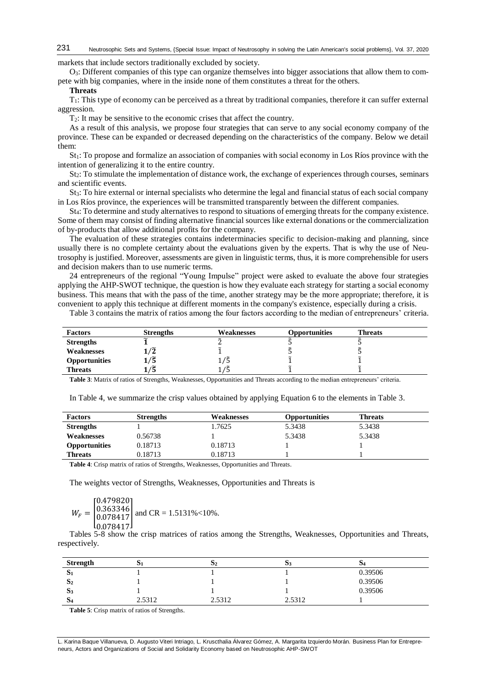markets that include sectors traditionally excluded by society.

O3: Different companies of this type can organize themselves into bigger associations that allow them to compete with big companies, where in the inside none of them constitutes a threat for the others.

#### **Threats**

 $T_1$ : This type of economy can be perceived as a threat by traditional companies, therefore it can suffer external aggression.

T2: It may be sensitive to the economic crises that affect the country.

As a result of this analysis, we propose four strategies that can serve to any social economy company of the province. These can be expanded or decreased depending on the characteristics of the company. Below we detail them:

St<sub>1</sub>: To propose and formalize an association of companies with social economy in Los Ríos province with the intention of generalizing it to the entire country.

 $St_2$ : To stimulate the implementation of distance work, the exchange of experiences through courses, seminars and scientific events.

 $St_3$ : To hire external or internal specialists who determine the legal and financial status of each social company in Los Ríos province, the experiences will be transmitted transparently between the different companies.

St4: To determine and study alternatives to respond to situations of emerging threats for the company existence. Some of them may consist of finding alternative financial sources like external donations or the commercialization of by-products that allow additional profits for the company.

The evaluation of these strategies contains indeterminacies specific to decision-making and planning, since usually there is no complete certainty about the evaluations given by the experts. That is why the use of Neutrosophy is justified. Moreover, assessments are given in linguistic terms, thus, it is more comprehensible for users and decision makers than to use numeric terms.

24 entrepreneurs of the regional "Young Impulse" project were asked to evaluate the above four strategies applying the AHP-SWOT technique, the question is how they evaluate each strategy for starting a social economy business. This means that with the pass of the time, another strategy may be the more appropriate; therefore, it is convenient to apply this technique at different moments in the company's existence, especially during a crisis.

Table 3 contains the matrix of ratios among the four factors according to the median of entrepreneurs' criteria.

| <b>Factors</b>   | <b>Strengths</b>          | Weaknesses | <b>Opportunities</b> | <b>Threats</b> |  |
|------------------|---------------------------|------------|----------------------|----------------|--|
| <b>Strengths</b> |                           |            |                      |                |  |
| Weaknesses       | $\tilde{2}$<br>$\sqrt{2}$ |            |                      |                |  |
| Opportunities    | . ש                       |            |                      |                |  |
| <b>Threats</b>   | כ'                        |            |                      |                |  |

**Table 3**: Matrix of ratios of Strengths, Weaknesses, Opportunities and Threats according to the median entrepreneurs' criteria.

In Table 4, we summarize the crisp values obtained by applying Equation 6 to the elements in Table 3.

| <b>Factors</b>                                                                                                                                                                                                                                                                                          | <b>Strengths</b> | Weaknesses | <b>Opportunities</b> | Threats |  |  |
|---------------------------------------------------------------------------------------------------------------------------------------------------------------------------------------------------------------------------------------------------------------------------------------------------------|------------------|------------|----------------------|---------|--|--|
| <b>Strengths</b>                                                                                                                                                                                                                                                                                        |                  | 1.7625     | 5.3438               | 5.3438  |  |  |
| Weaknesses                                                                                                                                                                                                                                                                                              | 0.56738          |            | 5.3438               | 5.3438  |  |  |
| <b>Opportunities</b>                                                                                                                                                                                                                                                                                    | 0.18713          | 0.18713    |                      |         |  |  |
| <b>Threats</b>                                                                                                                                                                                                                                                                                          | 0.18713          | 0.18713    |                      |         |  |  |
| $\mathbf{T}$ and $\mathbf{A}$ and $\mathbf{C}$ and $\mathbf{C}$ and $\mathbf{C}$ and $\mathbf{C}$ $\mathbf{C}$ and $\mathbf{C}$ and $\mathbf{C}$ and $\mathbf{C}$ and $\mathbf{C}$ and $\mathbf{C}$ and $\mathbf{C}$ and $\mathbf{C}$ and $\mathbf{C}$ and $\mathbf{C}$ and $\mathbf{C}$ and $\mathbf{$ |                  |            |                      |         |  |  |

**Table 4**: Crisp matrix of ratios of Strengths, Weaknesses, Opportunities and Threats.

The weights vector of Strengths, Weaknesses, Opportunities and Threats is

$$
W_F = \begin{bmatrix} 0.479820 \\ 0.363346 \\ 0.078417 \\ 0.078417 \end{bmatrix}
$$
 and CR = 1.5131%<10%.

Tables 5-8 show the crisp matrices of ratios among the Strengths, Weaknesses, Opportunities and Threats, respectively.

| <b>Strength</b> | ΡI     | 52     | 03     | $\mathbf{D4}$ |
|-----------------|--------|--------|--------|---------------|
| $\mathbf{D}1$   |        |        |        | 0.39506       |
| D <sub>2</sub>  |        |        |        | 0.39506       |
| 3 <sup>3</sup>  |        |        |        | 0.39506       |
| $\mathbf{D}$ 4  | 2.5312 | 2.5312 | 2.5312 |               |

**Table 5**: Crisp matrix of ratios of Strengths.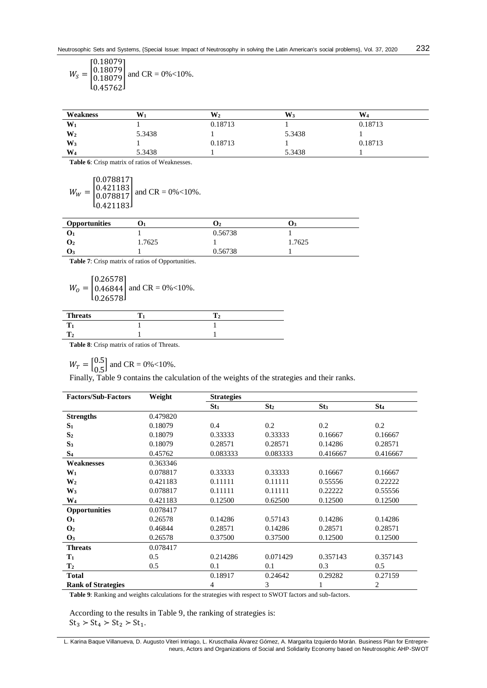$$
W_{S} = \begin{bmatrix} 0.18079 \\ 0.18079 \\ 0.18079 \\ 0.45762 \end{bmatrix}
$$
 and CR = 0%<10%.

| Weakness | $\mathbf{W}_1$ | W2      | W3     | $W_4$   |  |
|----------|----------------|---------|--------|---------|--|
| W        |                | 0.18713 |        | 0.18713 |  |
| $W_2$    | 5.3438         |         | 5.3438 |         |  |
| $W_3$    |                | 0.18713 |        | 0.18713 |  |
| $W_4$    | 5.3438         |         | 5.3438 |         |  |

**Table 6**: Crisp matrix of ratios of Weaknesses.

$$
W_W = \begin{bmatrix} 0.078817 \\ 0.421183 \\ 0.078817 \\ 0.421183 \end{bmatrix}
$$
 and CR = 0%<10%.

| <b>Opportunities</b> |        |         |        |
|----------------------|--------|---------|--------|
|                      |        | 0.56738 |        |
| U2                   | 1.7625 |         | 1.7625 |
| J3.                  |        | 0.56738 |        |

**Table 7**: Crisp matrix of ratios of Opportunities.

$$
W_0 = \begin{bmatrix} 0.26578 \\ 0.46844 \\ 0.26578 \end{bmatrix}
$$
 and CR = 0%<10%.

| <b>Threats</b> |  |  |
|----------------|--|--|
| --             |  |  |
|                |  |  |
|                |  |  |

**Table 8**: Crisp matrix of ratios of Threats.

 $W_T = \begin{bmatrix} 0.5 \\ 0.5 \end{bmatrix}$  $\begin{bmatrix} 0.5 \\ 0.5 \end{bmatrix}$  and CR = 0%<10%.

Finally, Table 9 contains the calculation of the weights of the strategies and their ranks.

| <b>Factors/Sub-Factors</b> | Weight   | <b>Strategies</b> |                 |                 |          |
|----------------------------|----------|-------------------|-----------------|-----------------|----------|
|                            |          | St <sub>1</sub>   | St <sub>2</sub> | St <sub>3</sub> | $St_4$   |
| <b>Strengths</b>           | 0.479820 |                   |                 |                 |          |
| $S_1$                      | 0.18079  | 0.4               | 0.2             | 0.2             | 0.2      |
| S <sub>2</sub>             | 0.18079  | 0.33333           | 0.33333         | 0.16667         | 0.16667  |
| S <sub>3</sub>             | 0.18079  | 0.28571           | 0.28571         | 0.14286         | 0.28571  |
| S <sub>4</sub>             | 0.45762  | 0.083333          | 0.083333        | 0.416667        | 0.416667 |
| Weaknesses                 | 0.363346 |                   |                 |                 |          |
| $W_1$                      | 0.078817 | 0.33333           | 0.33333         | 0.16667         | 0.16667  |
| W <sub>2</sub>             | 0.421183 | 0.11111           | 0.11111         | 0.55556         | 0.22222  |
| $W_3$                      | 0.078817 | 0.11111           | 0.11111         | 0.22222         | 0.55556  |
| $\rm W_4$                  | 0.421183 | 0.12500           | 0.62500         | 0.12500         | 0.12500  |
| Opportunities              | 0.078417 |                   |                 |                 |          |
| O <sub>1</sub>             | 0.26578  | 0.14286           | 0.57143         | 0.14286         | 0.14286  |
| $\mathbf{O}_2$             | 0.46844  | 0.28571           | 0.14286         | 0.28571         | 0.28571  |
| $\mathbf{O}_3$             | 0.26578  | 0.37500           | 0.37500         | 0.12500         | 0.12500  |
| <b>Threats</b>             | 0.078417 |                   |                 |                 |          |
| $T_1$                      | 0.5      | 0.214286          | 0.071429        | 0.357143        | 0.357143 |
| T <sub>2</sub>             | 0.5      | 0.1               | 0.1             | 0.3             | 0.5      |
| <b>Total</b>               |          | 0.18917           | 0.24642         | 0.29282         | 0.27159  |
| <b>Rank of Strategies</b>  |          | 4                 | 3               | 1               | 2        |

**Table 9**: Ranking and weights calculations for the strategies with respect to SWOT factors and sub-factors.

According to the results in Table 9, the ranking of strategies is:  $St_3 > St_4 > St_2 > St_1.$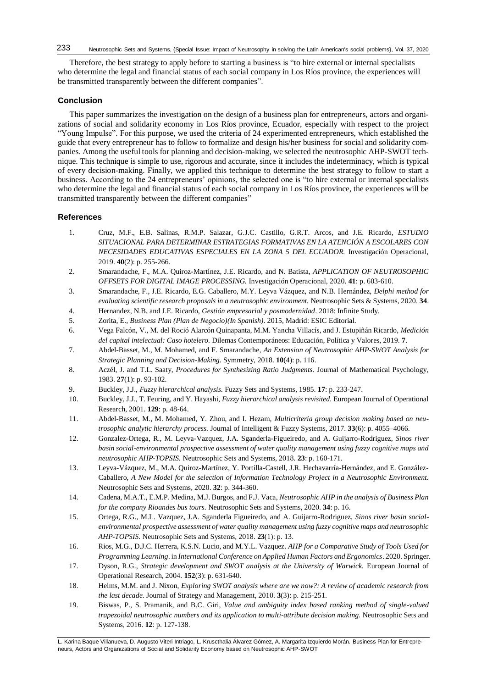Therefore, the best strategy to apply before to starting a business is "to hire external or internal specialists who determine the legal and financial status of each social company in Los Ríos province, the experiences will be transmitted transparently between the different companies".

# **Conclusion**

This paper summarizes the investigation on the design of a business plan for entrepreneurs, actors and organizations of social and solidarity economy in Los Ríos province, Ecuador, especially with respect to the project "Young Impulse". For this purpose, we used the criteria of 24 experimented entrepreneurs, which established the guide that every entrepreneur has to follow to formalize and design his/her business for social and solidarity companies. Among the useful tools for planning and decision-making, we selected the neutrosophic AHP-SWOT technique. This technique is simple to use, rigorous and accurate, since it includes the indeterminacy, which is typical of every decision-making. Finally, we applied this technique to determine the best strategy to follow to start a business. According to the 24 entrepreneurs' opinions, the selected one is "to hire external or internal specialists who determine the legal and financial status of each social company in Los Ríos province, the experiences will be transmitted transparently between the different companies"

# **References**

- 1. Cruz, M.F., E.B. Salinas, R.M.P. Salazar, G.J.C. Castillo, G.R.T. Arcos, and J.E. Ricardo, *ESTUDIO SITUACIONAL PARA DETERMINAR ESTRATEGIAS FORMATIVAS EN LA ATENCIÓN A ESCOLARES CON NECESIDADES EDUCATIVAS ESPECIALES EN LA ZONA 5 DEL ECUADOR.* Investigación Operacional, 2019. **40**(2): p. 255-266.
- 2. Smarandache, F., M.A. Quiroz-Martínez, J.E. Ricardo, and N. Batista, *APPLICATION OF NEUTROSOPHIC OFFSETS FOR DIGITAL IMAGE PROCESSING.* Investigación Operacional, 2020. **41**: p. 603-610.
- 3. Smarandache, F., J.E. Ricardo, E.G. Caballero, M.Y. Leyva Vázquez, and N.B. Hernández, *Delphi method for evaluating scientific research proposals in a neutrosophic environment.* Neutrosophic Sets & Systems, 2020. **34**.
- 4. Hernandez, N.B. and J.E. Ricardo, *Gestión empresarial y posmodernidad*. 2018: Infinite Study.
- 5. Zorita, E., *Business Plan (Plan de Negocio)(In Spanish)*. 2015, Madrid: ESIC Editorial.
- 6. Vega Falcón, V., M. del Roció Alarcón Quinapanta, M.M. Yancha Villacís, and J. Estupiñán Ricardo, *Medición del capital intelectual: Caso hotelero.* Dilemas Contemporáneos: Educación, Política y Valores, 2019. **7**.
- 7. Abdel-Basset, M., M. Mohamed, and F. Smarandache, *An Extension of Neutrosophic AHP-SWOT Analysis for Strategic Planning and Decision-Making.* Symmetry, 2018. **10**(4): p. 116.
- 8. Aczél, J. and T.L. Saaty, *Procedures for Synthesizing Ratio Judgments.* Journal of Mathematical Psychology, 1983. **27**(1): p. 93-102.
- 9. Buckley, J.J., *Fuzzy hierarchical analysis.* Fuzzy Sets and Systems, 1985. **17**: p. 233-247.
- 10. Buckley, J.J., T. Feuring, and Y. Hayashi, *Fuzzy hierarchical analysis revisited.* European Journal of Operational Research, 2001. **129**: p. 48-64.
- 11. Abdel-Basset, M., M. Mohamed, Y. Zhou, and I. Hezam, *Multicriteria group decision making based on neutrosophic analytic hierarchy process.* Journal of Intelligent & Fuzzy Systems, 2017. **33**(6): p. 4055–4066.
- 12. Gonzalez-Ortega, R., M. Leyva-Vazquez, J.A. Sganderla-Figueiredo, and A. Guijarro-Rodriguez, *Sinos river basin social-environmental prospective assessment of water quality management using fuzzy cognitive maps and neutrosophic AHP-TOPSIS.* Neutrosophic Sets and Systems, 2018. **23**: p. 160-171.
- 13. Leyva-Vázquez, M., M.A. Quiroz-Martínez, Y. Portilla-Castell, J.R. Hechavarría-Hernández, and E. González-Caballero, *A New Model for the selection of Information Technology Project in a Neutrosophic Environment.* Neutrosophic Sets and Systems, 2020. **32**: p. 344-360.
- 14. Cadena, M.A.T., E.M.P. Medina, M.J. Burgos, and F.J. Vaca, *Neutrosophic AHP in the analysis of Business Plan for the company Rioandes bus tours.* Neutrosophic Sets and Systems, 2020. **34**: p. 16.
- 15. Ortega, R.G., M.L. Vazquez, J.A. Sganderla Figueiredo, and A. Guijarro-Rodriguez, *Sinos river basin socialenvironmental prospective assessment of water quality management using fuzzy cognitive maps and neutrosophic AHP-TOPSIS.* Neutrosophic Sets and Systems, 2018. **23**(1): p. 13.
- 16. Rios, M.G., D.J.C. Herrera, K.S.N. Lucio, and M.Y.L. Vazquez. *AHP for a Comparative Study of Tools Used for Programming Learning*. in *International Conference on Applied Human Factors and Ergonomics*. 2020. Springer.
- 17. Dyson, R.G., *Strategic development and SWOT analysis at the University of Warwick.* European Journal of Operational Research, 2004. **152**(3): p. 631-640.
- 18. Helms, M.M. and J. Nixon, *Exploring SWOT analysis where are we now?: A review of academic research from the last decade.* Journal of Strategy and Management, 2010. **3**(3): p. 215-251.
- 19. Biswas, P., S. Pramanik, and B.C. Giri, *Value and ambiguity index based ranking method of single-valued trapezoidal neutrosophic numbers and its application to multi-attribute decision making.* Neutrosophic Sets and Systems, 2016. **12**: p. 127-138.

L. Karina Baque Villanueva, D. Augusto Viteri Intriago, L. Kruscthalia Álvarez Gómez, A. Margarita Izquierdo Morán. Business Plan for Entrepreneurs, Actors and Organizations of Social and Solidarity Economy based on Neutrosophic AHP-SWOT